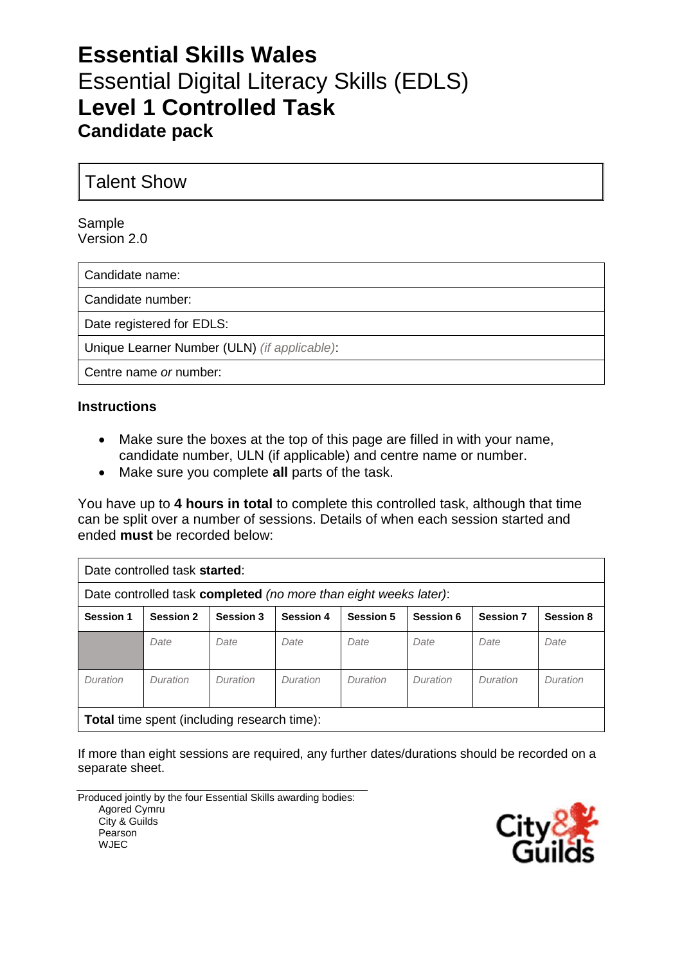## **Essential Skills Wales** Essential Digital Literacy Skills (EDLS) **Level 1 Controlled Task Candidate pack**

Talent Show

Sample Version 2.0

Candidate name:

Candidate number:

Date registered for EDLS:

Unique Learner Number (ULN) *(if applicable)*:

Centre name *or* number:

#### **Instructions**

- Make sure the boxes at the top of this page are filled in with your name, candidate number, ULN (if applicable) and centre name or number.
- Make sure you complete **all** parts of the task.

You have up to **4 hours in total** to complete this controlled task, although that time can be split over a number of sessions. Details of when each session started and ended **must** be recorded below:

| Date controlled task started:                                    |                  |                  |                  |           |           |                  |                  |
|------------------------------------------------------------------|------------------|------------------|------------------|-----------|-----------|------------------|------------------|
| Date controlled task completed (no more than eight weeks later): |                  |                  |                  |           |           |                  |                  |
| <b>Session 1</b>                                                 | <b>Session 2</b> | <b>Session 3</b> | <b>Session 4</b> | Session 5 | Session 6 | <b>Session 7</b> | <b>Session 8</b> |
|                                                                  | Date             | Date             | Date             | Date      | Date      | Date             | Date             |
| Duration                                                         | Duration         | Duration         | Duration         | Duration  | Duration  | Duration         | Duration         |
| <b>Total time spent (including research time):</b>               |                  |                  |                  |           |           |                  |                  |

If more than eight sessions are required, any further dates/durations should be recorded on a separate sheet.

Produced jointly by the four Essential Skills awarding bodies: Agored Cymru City & Guilds Pearson WJEC

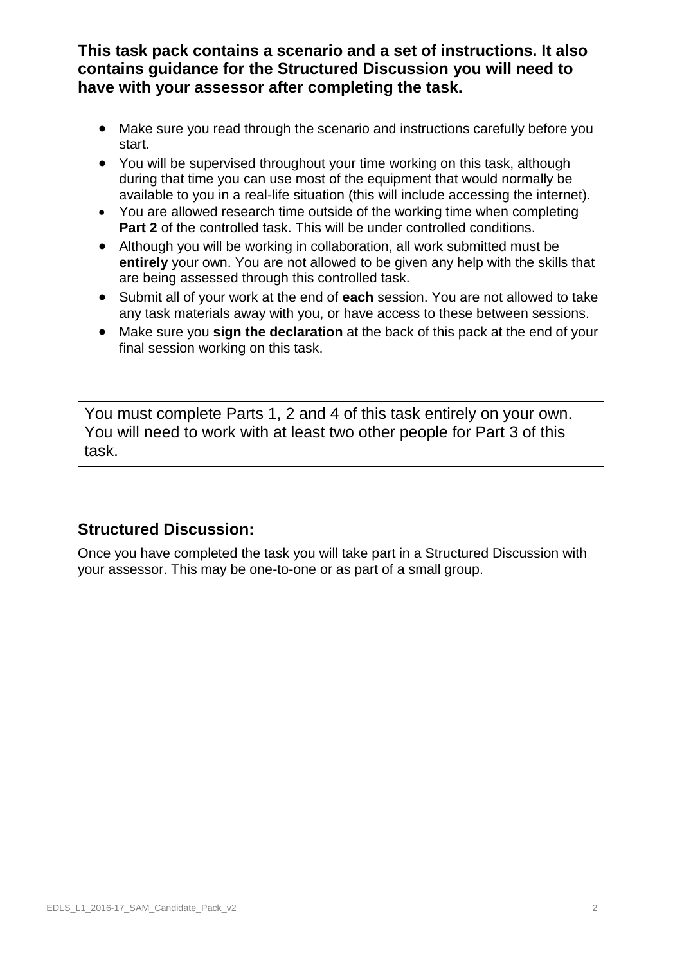**This task pack contains a scenario and a set of instructions. It also contains guidance for the Structured Discussion you will need to have with your assessor after completing the task.**

- Make sure you read through the scenario and instructions carefully before you start.
- You will be supervised throughout your time working on this task, although during that time you can use most of the equipment that would normally be available to you in a real-life situation (this will include accessing the internet).
- You are allowed research time outside of the working time when completing **Part 2** of the controlled task. This will be under controlled conditions.
- Although you will be working in collaboration, all work submitted must be **entirely** your own. You are not allowed to be given any help with the skills that are being assessed through this controlled task.
- Submit all of your work at the end of **each** session. You are not allowed to take any task materials away with you, or have access to these between sessions.
- Make sure you **sign the declaration** at the back of this pack at the end of your final session working on this task.

You must complete Parts 1, 2 and 4 of this task entirely on your own. You will need to work with at least two other people for Part 3 of this task.

### **Structured Discussion:**

Once you have completed the task you will take part in a Structured Discussion with your assessor. This may be one-to-one or as part of a small group.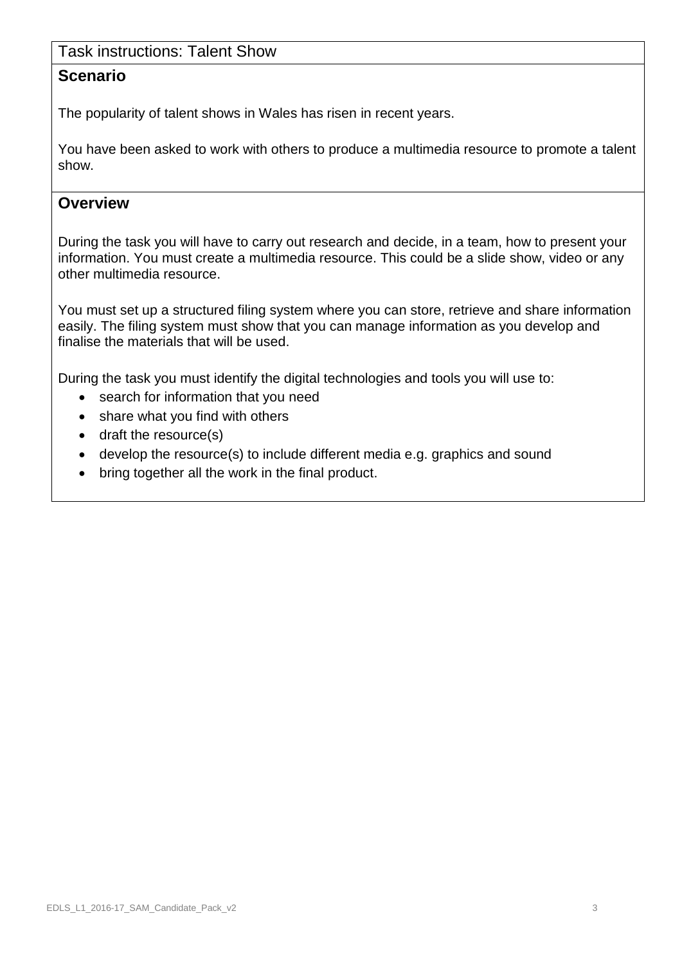### Task instructions: Talent Show

### **Scenario**

The popularity of talent shows in Wales has risen in recent years.

You have been asked to work with others to produce a multimedia resource to promote a talent show.

#### **Overview**

During the task you will have to carry out research and decide, in a team, how to present your information. You must create a multimedia resource. This could be a slide show, video or any other multimedia resource.

You must set up a structured filing system where you can store, retrieve and share information easily. The filing system must show that you can manage information as you develop and finalise the materials that will be used.

During the task you must identify the digital technologies and tools you will use to:

- search for information that you need
- share what you find with others
- draft the resource(s)
- develop the resource(s) to include different media e.g. graphics and sound
- bring together all the work in the final product.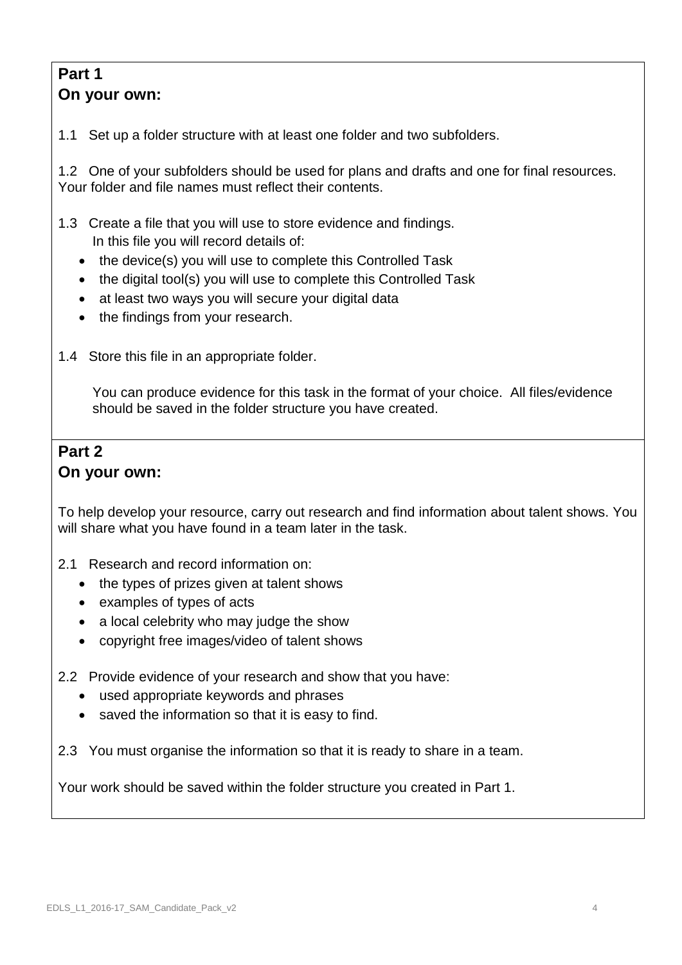## **Part 1 On your own:**

1.1 Set up a folder structure with at least one folder and two subfolders.

1.2 One of your subfolders should be used for plans and drafts and one for final resources. Your folder and file names must reflect their contents.

1.3 Create a file that you will use to store evidence and findings. In this file you will record details of:

- the device(s) you will use to complete this Controlled Task
- the digital tool(s) you will use to complete this Controlled Task
- at least two ways you will secure your digital data
- the findings from your research.
- 1.4 Store this file in an appropriate folder.

You can produce evidence for this task in the format of your choice. All files/evidence should be saved in the folder structure you have created.

#### **Part 2 On your own:**

To help develop your resource, carry out research and find information about talent shows. You will share what you have found in a team later in the task.

- 2.1 Research and record information on:
	- the types of prizes given at talent shows
	- examples of types of acts
	- a local celebrity who may judge the show
	- copyright free images/video of talent shows
- 2.2 Provide evidence of your research and show that you have:
	- used appropriate keywords and phrases
	- saved the information so that it is easy to find.
- 2.3 You must organise the information so that it is ready to share in a team.

Your work should be saved within the folder structure you created in Part 1.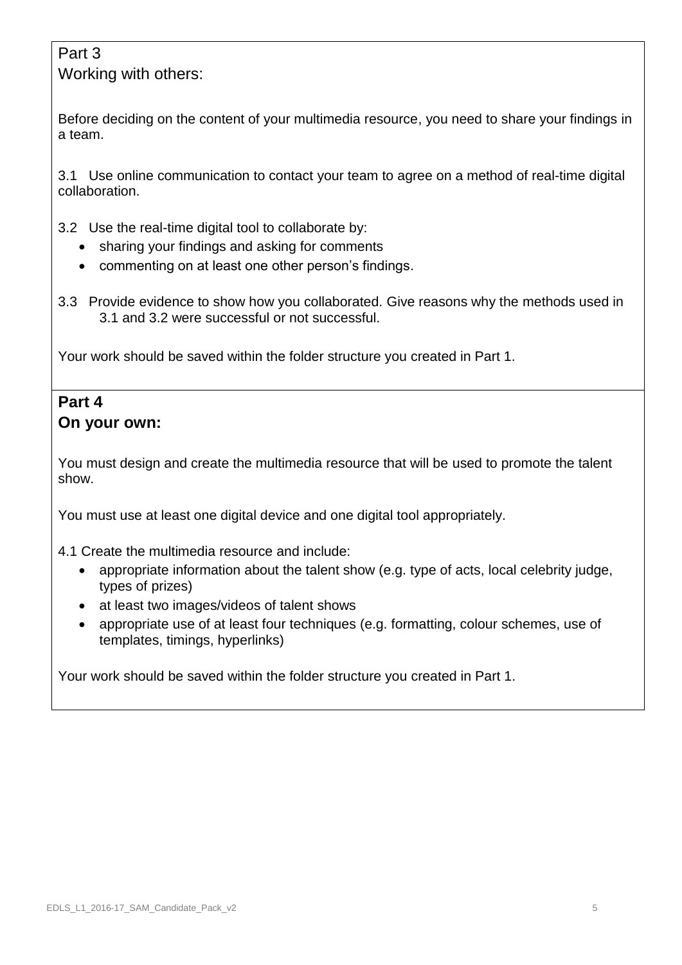## Part 3 Working with others:

Before deciding on the content of your multimedia resource, you need to share your findings in a team.

3.1 Use online communication to contact your team to agree on a method of real-time digital collaboration.

- 3.2 Use the real-time digital tool to collaborate by:
	- sharing your findings and asking for comments
	- commenting on at least one other person's findings.
- 3.3 Provide evidence to show how you collaborated. Give reasons why the methods used in 3.1 and 3.2 were successful or not successful.

Your work should be saved within the folder structure you created in Part 1.

## **Part 4**

### **On your own:**

You must design and create the multimedia resource that will be used to promote the talent show.

You must use at least one digital device and one digital tool appropriately.

4.1 Create the multimedia resource and include:

- appropriate information about the talent show (e.g. type of acts, local celebrity judge, types of prizes)
- at least two images/videos of talent shows
- appropriate use of at least four techniques (e.g. formatting, colour schemes, use of templates, timings, hyperlinks)

Your work should be saved within the folder structure you created in Part 1.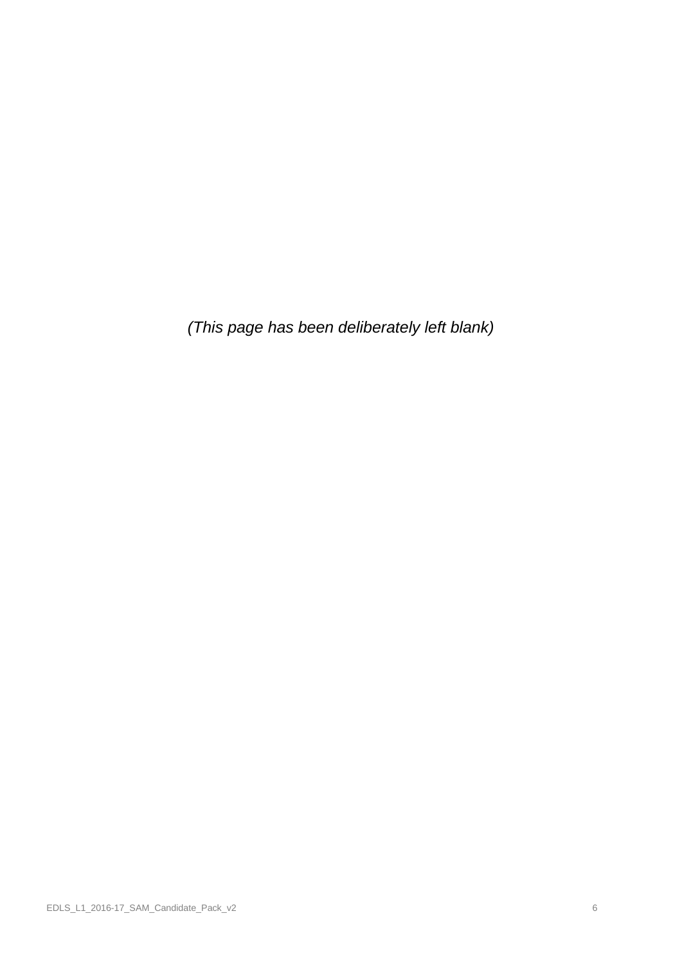*(This page has been deliberately left blank)*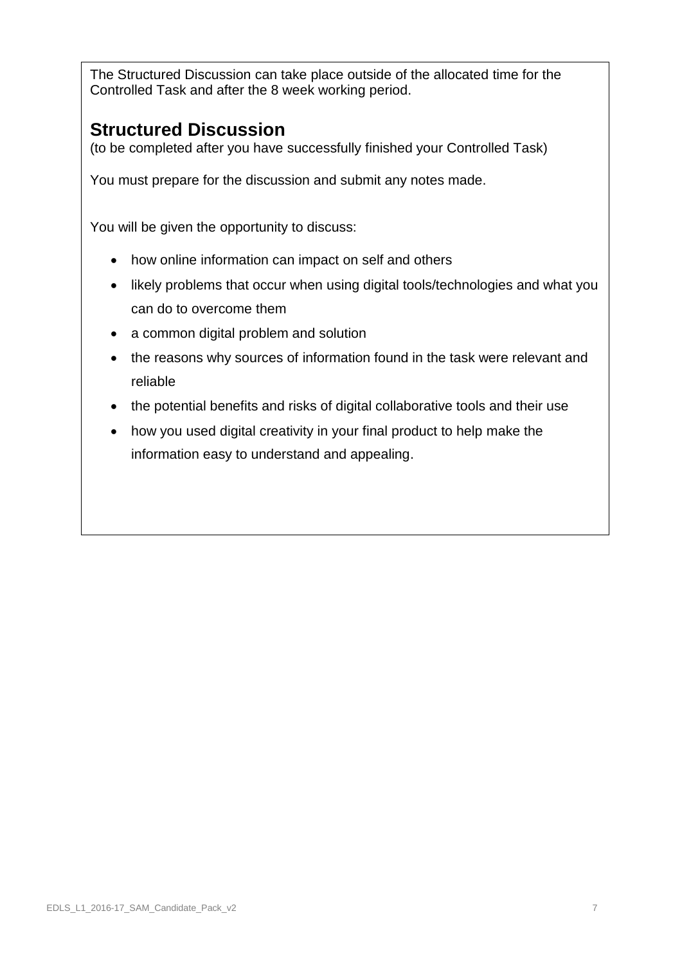The Structured Discussion can take place outside of the allocated time for the Controlled Task and after the 8 week working period.

## **Structured Discussion**

(to be completed after you have successfully finished your Controlled Task)

You must prepare for the discussion and submit any notes made.

You will be given the opportunity to discuss:

- how online information can impact on self and others
- likely problems that occur when using digital tools/technologies and what you can do to overcome them
- a common digital problem and solution
- the reasons why sources of information found in the task were relevant and reliable
- the potential benefits and risks of digital collaborative tools and their use
- how you used digital creativity in your final product to help make the information easy to understand and appealing.